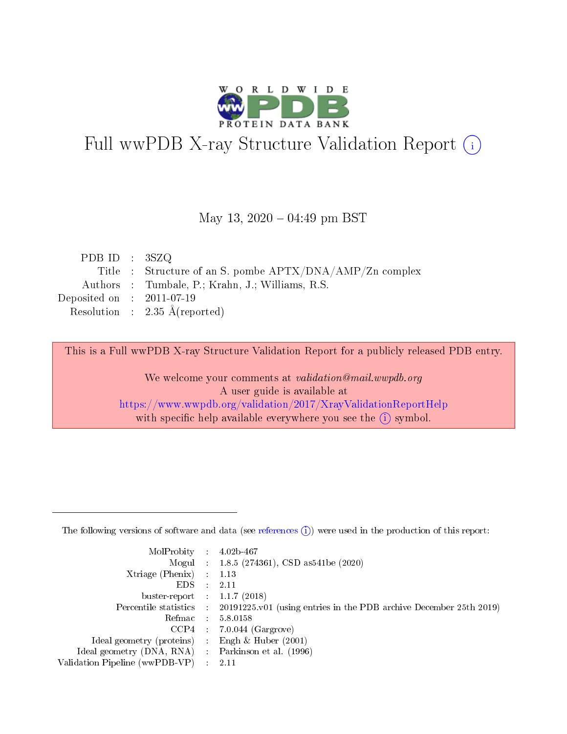

# Full wwPDB X-ray Structure Validation Report (i)

#### May 13,  $2020 - 04:49$  pm BST

| PDB ID : $3SZQ$             |                                                          |
|-----------------------------|----------------------------------------------------------|
|                             | Title : Structure of an S. pombe APTX/DNA/AMP/Zn complex |
|                             | Authors : Tumbale, P.; Krahn, J.; Williams, R.S.         |
| Deposited on : $2011-07-19$ |                                                          |
|                             | Resolution : $2.35 \text{ Å}$ (reported)                 |

This is a Full wwPDB X-ray Structure Validation Report for a publicly released PDB entry.

We welcome your comments at validation@mail.wwpdb.org A user guide is available at <https://www.wwpdb.org/validation/2017/XrayValidationReportHelp> with specific help available everywhere you see the  $(i)$  symbol.

The following versions of software and data (see [references](https://www.wwpdb.org/validation/2017/XrayValidationReportHelp#references)  $(1)$ ) were used in the production of this report:

| $MolProbability$ 4.02b-467                          |               |                                                                                            |
|-----------------------------------------------------|---------------|--------------------------------------------------------------------------------------------|
|                                                     |               | Mogul : 1.8.5 (274361), CSD as 541be (2020)                                                |
| $Xtriangle (Phenix)$ : 1.13                         |               |                                                                                            |
| EDS.                                                | $\mathcal{L}$ | 2.11                                                                                       |
| buster-report : $1.1.7(2018)$                       |               |                                                                                            |
|                                                     |               | Percentile statistics : 20191225.v01 (using entries in the PDB archive December 25th 2019) |
| Refmac $5.8.0158$                                   |               |                                                                                            |
|                                                     |               | $CCP4$ : 7.0.044 (Gargrove)                                                                |
| Ideal geometry (proteins) :                         |               | Engh $\&$ Huber (2001)                                                                     |
| Ideal geometry (DNA, RNA) : Parkinson et al. (1996) |               |                                                                                            |
| Validation Pipeline (wwPDB-VP) : 2.11               |               |                                                                                            |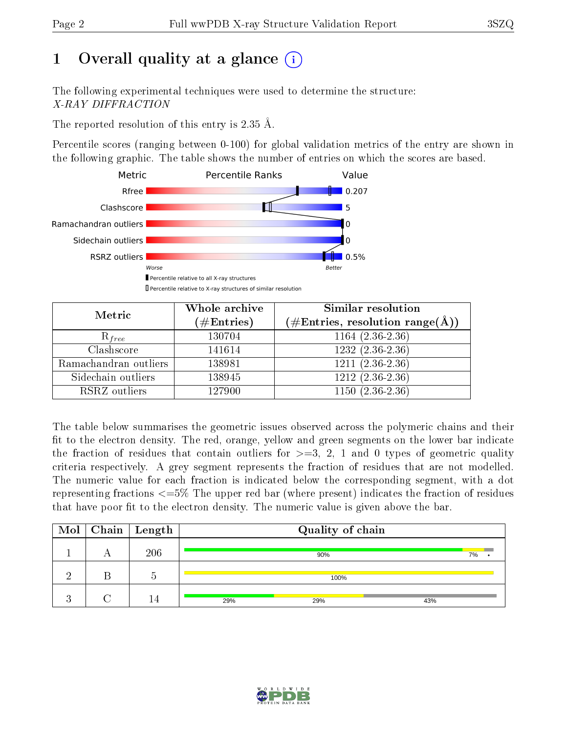# 1 [O](https://www.wwpdb.org/validation/2017/XrayValidationReportHelp#overall_quality)verall quality at a glance  $(i)$

The following experimental techniques were used to determine the structure: X-RAY DIFFRACTION

The reported resolution of this entry is 2.35 Å.

Percentile scores (ranging between 0-100) for global validation metrics of the entry are shown in the following graphic. The table shows the number of entries on which the scores are based.



| Metric                | Whole archive<br>$(\#\text{Entries})$ | <b>Similar resolution</b><br>$(\#\text{Entries}, \text{resolution range}(\text{\AA}))$ |
|-----------------------|---------------------------------------|----------------------------------------------------------------------------------------|
| $R_{free}$            | 130704                                | $1164 (2.36 - 2.36)$                                                                   |
| Clashscore            | 141614                                | $1232(2.36-2.36)$                                                                      |
| Ramachandran outliers | 138981                                | $\overline{1211}$ $(2.36-2.36)$                                                        |
| Sidechain outliers    | 138945                                | $1212(2.36-2.36)$                                                                      |
| RSRZ outliers         | 127900                                | $1150(2.36-2.36)$                                                                      |

The table below summarises the geometric issues observed across the polymeric chains and their fit to the electron density. The red, orange, yellow and green segments on the lower bar indicate the fraction of residues that contain outliers for  $>=3, 2, 1$  and 0 types of geometric quality criteria respectively. A grey segment represents the fraction of residues that are not modelled. The numeric value for each fraction is indicated below the corresponding segment, with a dot representing fractions  $\epsilon=5\%$  The upper red bar (where present) indicates the fraction of residues that have poor fit to the electron density. The numeric value is given above the bar.

|  | $\boxed{\text{Mol}}$ Chain   Length |     | Quality of chain |     |    |
|--|-------------------------------------|-----|------------------|-----|----|
|  | 206                                 |     | 90%              |     | 7% |
|  |                                     |     | 100%             |     |    |
|  |                                     | 29% | 29%              | 43% |    |

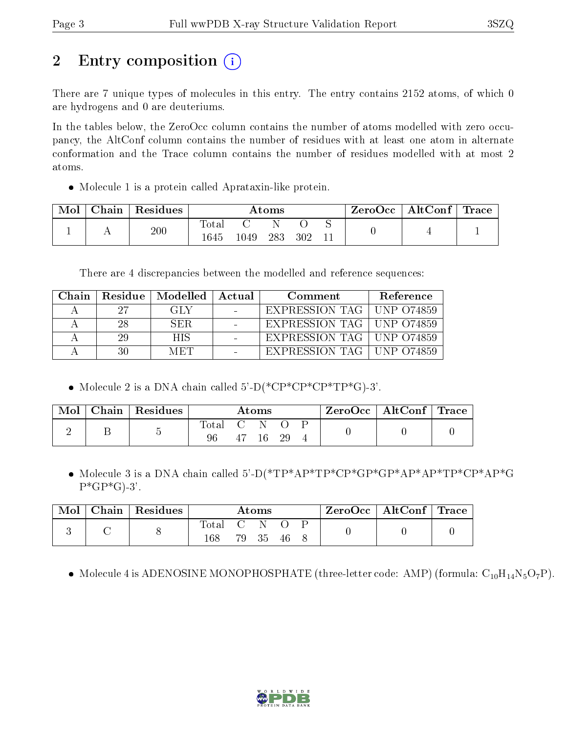# 2 Entry composition  $\left( \cdot \right)$

There are 7 unique types of molecules in this entry. The entry contains 2152 atoms, of which 0 are hydrogens and 0 are deuteriums.

In the tables below, the ZeroOcc column contains the number of atoms modelled with zero occupancy, the AltConf column contains the number of residues with at least one atom in alternate conformation and the Trace column contains the number of residues modelled with at most 2 atoms.

Molecule 1 is a protein called Aprataxin-like protein.

| Mol | Chain | Residues | $\rm{Atoms}$        |      |     |     |  | ZeroOcc∣ | $\mid$ AltConf $\mid$ | $\operatorname{Trace}\nolimits$ $\mid$ |
|-----|-------|----------|---------------------|------|-----|-----|--|----------|-----------------------|----------------------------------------|
|     |       | 200      | $\rm Total$<br>1645 | 1049 | 283 | 302 |  |          |                       |                                        |

There are 4 discrepancies between the modelled and reference sequences:

| Chain. | Residue | Modelled | Actual | Comment                     | Reference |
|--------|---------|----------|--------|-----------------------------|-----------|
|        | -27     | GLY.     |        | EXPRESSION TAG   UNP 074859 |           |
|        | -28     | SER.     |        | EXPRESSION TAG   UNP 074859 |           |
|        | 29      | HIS.     |        | EXPRESSION TAG   UNP 074859 |           |
|        | 30      | MET      |        | EXPRESSION TAG   UNP 074859 |           |

• Molecule 2 is a DNA chain called  $5'-D(*\text{CP}^*\text{CP}^*\text{CP}^*\text{TP}^*\text{G})-3'.$ 

| Mol | Chain   Residues | $\rm{Atoms}$ |                |  | ZeroOcc   AltConf   Trace |  |  |  |
|-----|------------------|--------------|----------------|--|---------------------------|--|--|--|
|     |                  | Total<br>96  | <b>C</b><br>47 |  | 29                        |  |  |  |

 Molecule 3 is a DNA chain called 5'-D(\*TP\*AP\*TP\*CP\*GP\*GP\*AP\*AP\*TP\*CP\*AP\*G  $P^*GP^*G$ -3'.

| Mol |  | $\mathbf{Chain} \mid$ Residues | $\rm{Atoms}$ |                  |      | $\text{ZeroOcc}$   AltConf   Trace |  |  |  |
|-----|--|--------------------------------|--------------|------------------|------|------------------------------------|--|--|--|
|     |  |                                | Total        | $\overline{C}$ N |      |                                    |  |  |  |
|     |  | 168                            |              | 79 35            | - 46 |                                    |  |  |  |

• Molecule 4 is ADENOSINE MONOPHOSPHATE (three-letter code: AMP) (formula:  $C_{10}H_{14}N_5O_7P$ ).

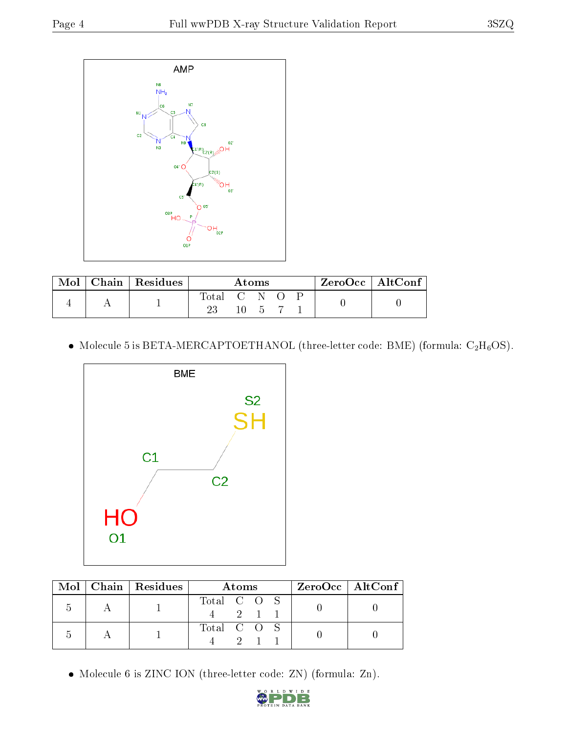

| Mol |  | $\vert$ Chain $\vert$ Residues | Atoms       |        |  | $ZeroOcc \mid AltConf \mid$ |  |
|-----|--|--------------------------------|-------------|--------|--|-----------------------------|--|
|     |  |                                | Total C N O |        |  |                             |  |
|     |  |                                |             | 10 5 7 |  |                             |  |

 $\bullet$  Molecule 5 is BETA-MERCAPTOETHANOL (three-letter code: BME) (formula: C<sub>2</sub>H<sub>6</sub>OS).



|  | $\text{Mol}$   Chain   Residues | <b>Atoms</b>               | ZeroOcc   AltConf |
|--|---------------------------------|----------------------------|-------------------|
|  |                                 | Total C O S<br>$2 \quad 1$ |                   |
|  |                                 | Total C O S                |                   |

Molecule 6 is ZINC ION (three-letter code: ZN) (formula: Zn).

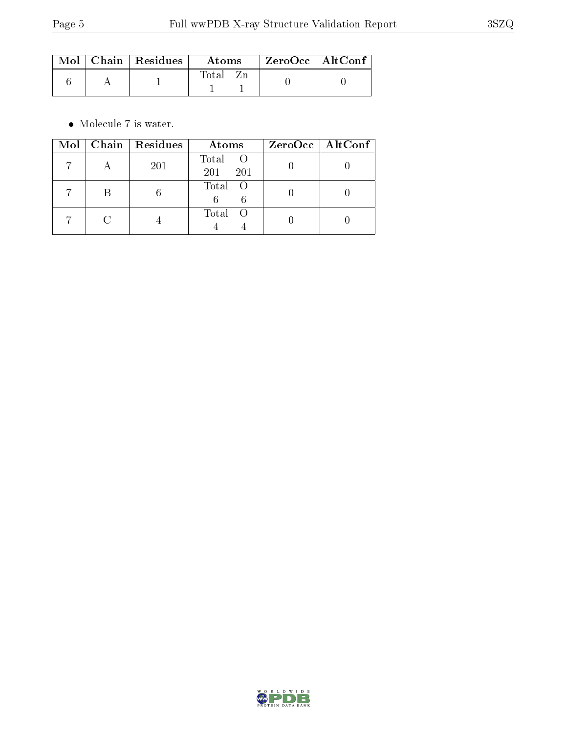|  | $\parallel$ Mol $\parallel$ Chain $\parallel$ Residues $\parallel$ | Atoms | ZeroOcc   AltConf |  |
|--|--------------------------------------------------------------------|-------|-------------------|--|
|  |                                                                    | Total |                   |  |

 $\bullet\,$  Molecule 7 is water.

| Mol | $\vert$ Chain $\vert$ Residues | Atoms                 | $ZeroOcc \mid AltConf \mid$ |
|-----|--------------------------------|-----------------------|-----------------------------|
|     | 201                            | Total O<br>201<br>201 |                             |
|     |                                | Total O<br>6          |                             |
|     |                                | Total                 |                             |

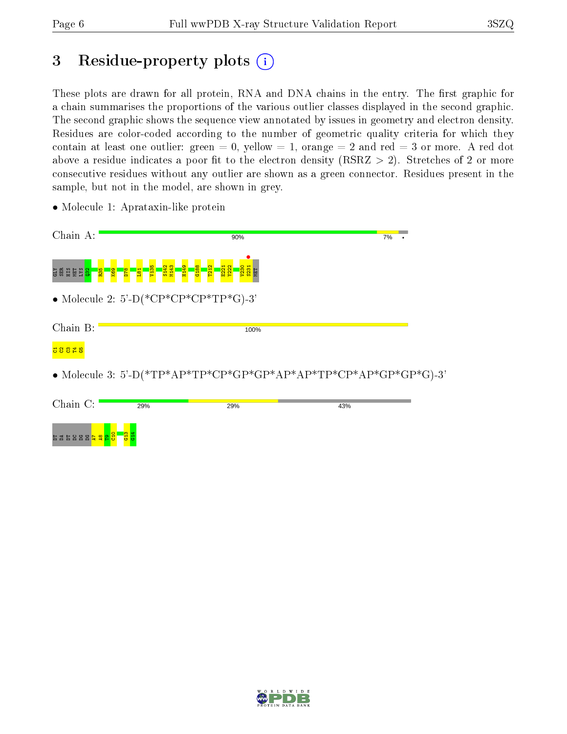ESSEE

 $^{\circ}$ ខា  $\frac{1}{2}$  $\frac{1}{2}$  $\frac{4}{5}$ 

# 3 Residue-property plots (i)

These plots are drawn for all protein, RNA and DNA chains in the entry. The first graphic for a chain summarises the proportions of the various outlier classes displayed in the second graphic. The second graphic shows the sequence view annotated by issues in geometry and electron density. Residues are color-coded according to the number of geometric quality criteria for which they contain at least one outlier: green  $= 0$ , yellow  $= 1$ , orange  $= 2$  and red  $= 3$  or more. A red dot above a residue indicates a poor fit to the electron density (RSRZ  $> 2$ ). Stretches of 2 or more consecutive residues without any outlier are shown as a green connector. Residues present in the sample, but not in the model, are shown in grey.

| Chain A:                         | 90%                                                                                   | 7% |  |
|----------------------------------|---------------------------------------------------------------------------------------|----|--|
| <b>R35</b><br>89X<br>ិដ្ឋមិន និង | E221<br>Y222<br><mark>- 앞 끓 — 알</mark><br>- 여 차 로<br>u <mark>a ma</mark><br><b>PA</b> |    |  |
|                                  | • Molecule 2: 5'-D(*CP*CP*CP*TP*G)-3'                                                 |    |  |
| Chain B:                         | 100%                                                                                  |    |  |
|                                  | • Molecule 3: 5'-D(*TP*AP*TP*CP*GP*GP*AP*AP*TP*CP*AP*GP*GP*G)-3'                      |    |  |
| Chain C:                         | 29%<br>29%<br>43%                                                                     |    |  |

• Molecule 1: Aprataxin-like protein

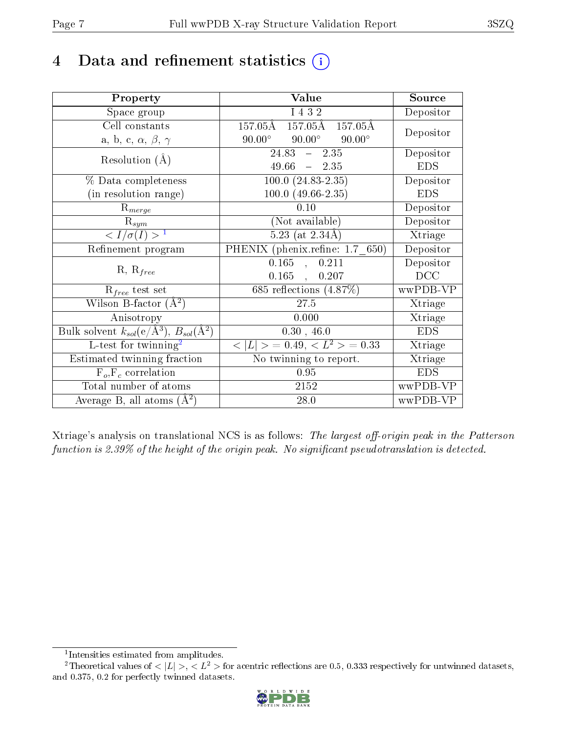## 4 Data and refinement statistics  $(i)$

| Property                                                             | Value                                              | Source     |  |
|----------------------------------------------------------------------|----------------------------------------------------|------------|--|
| Space group                                                          | I 4 3 2                                            | Depositor  |  |
| Cell constants                                                       | $157.05$ Å $157.05$ Å $157.05$ Å                   | Depositor  |  |
| a, b, c, $\alpha$ , $\beta$ , $\gamma$                               | $90.00^{\circ}$ $90.00^{\circ}$<br>$90.00^{\circ}$ |            |  |
| Resolution $(A)$                                                     | $24.83 - 2.35$                                     | Depositor  |  |
|                                                                      | $49.66 - 2.35$                                     | <b>EDS</b> |  |
| % Data completeness                                                  | $100.0 (24.83 - 2.35)$                             | Depositor  |  |
| (in resolution range)                                                | $100.0 (49.66 - 2.35)$                             | <b>EDS</b> |  |
| $\mathrm{R}_{merge}$                                                 | 0.10                                               | Depositor  |  |
| $\mathrm{R}_{sym}$                                                   | (Not available)                                    | Depositor  |  |
| $\langle I/\sigma(I) \rangle^{-1}$                                   | $5.23$ (at $2.34\text{\AA}$ )                      | Xtriage    |  |
| Refinement program                                                   | PHENIX (phenix.refine: 1.7 650)                    | Depositor  |  |
| $R, R_{free}$                                                        | $0.165$ , $0.211$                                  | Depositor  |  |
|                                                                      | $0.165$ , $0.207$                                  | DCC        |  |
| $R_{free}$ test set                                                  | 685 reflections $(4.87\%)$                         | wwPDB-VP   |  |
| Wilson B-factor $(A^2)$                                              | 27.5                                               | Xtriage    |  |
| Anisotropy                                                           | 0.000                                              | Xtriage    |  |
| Bulk solvent $k_{sol}(e/\mathring{A}^3)$ , $B_{sol}(\mathring{A}^2)$ | 0.30, 46.0                                         | <b>EDS</b> |  |
| $L$ -test for twinning <sup>2</sup>                                  | $< L >$ = 0.49, $< L2$ > = 0.33                    | Xtriage    |  |
| Estimated twinning fraction                                          | No twinning to report.                             | Xtriage    |  |
| $\overline{F_o, F_c}$ correlation                                    | 0.95                                               | <b>EDS</b> |  |
| Total number of atoms                                                | 2152                                               | wwPDB-VP   |  |
| Average B, all atoms $(A^2)$                                         | 28.0                                               | wwPDB-VP   |  |

Xtriage's analysis on translational NCS is as follows: The largest off-origin peak in the Patterson function is 2.39% of the height of the origin peak. No significant pseudotranslation is detected.

<sup>&</sup>lt;sup>2</sup>Theoretical values of  $\langle |L| \rangle$ ,  $\langle L^2 \rangle$  for acentric reflections are 0.5, 0.333 respectively for untwinned datasets, and 0.375, 0.2 for perfectly twinned datasets.



<span id="page-6-1"></span><span id="page-6-0"></span><sup>1</sup> Intensities estimated from amplitudes.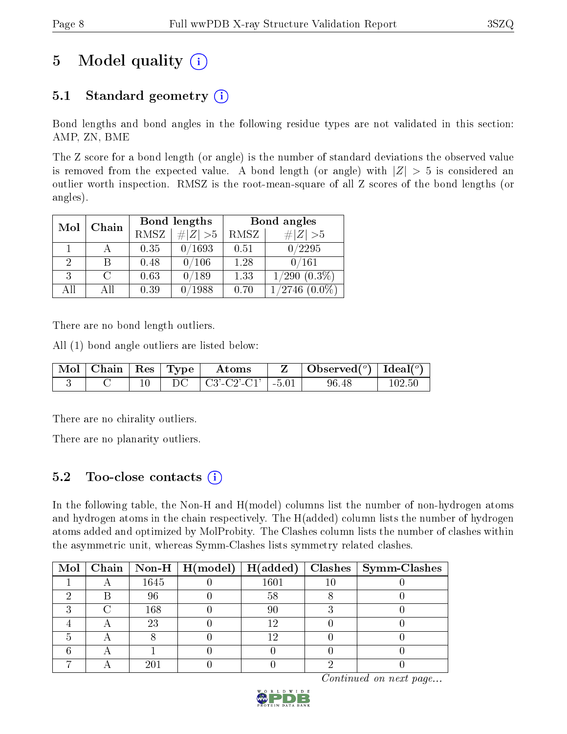# 5 Model quality  $(i)$

### 5.1 Standard geometry  $(i)$

Bond lengths and bond angles in the following residue types are not validated in this section: AMP, ZN, BME

The Z score for a bond length (or angle) is the number of standard deviations the observed value is removed from the expected value. A bond length (or angle) with  $|Z| > 5$  is considered an outlier worth inspection. RMSZ is the root-mean-square of all Z scores of the bond lengths (or angles).

| Mol  | Chain |             | Bond lengths   | Bond angles |                   |  |
|------|-------|-------------|----------------|-------------|-------------------|--|
|      |       | <b>RMSZ</b> | $\# Z  > 5$    | RMSZ        | $\# Z  > 5$       |  |
|      |       | 0.35        | 0/1693         | 0.51        | 0/2295            |  |
| 2    | В     | 0.48        | 0/106          | 1.28        | 0/161             |  |
| 3    | C     | 0.63        | $^{\prime}189$ | 1.33        | $1/290$ $(0.3\%)$ |  |
| Δ 11 | A II  | 0.39        | 1988           | 0.70        | $^{\prime}2746$   |  |

There are no bond length outliers.

All (1) bond angle outliers are listed below:

| $\parallel$ Mol $\parallel$ Chain $\parallel$ Res $\parallel$ Type $\parallel$ |  | Atoms                   |         | $\mid$ Observed( $^o$ ) $\mid$ Ideal( $^o$ ) |  |
|--------------------------------------------------------------------------------|--|-------------------------|---------|----------------------------------------------|--|
|                                                                                |  | $\pm$ C3'-C2'-C1' $\pm$ | $-5.01$ | 96.48                                        |  |

There are no chirality outliers.

There are no planarity outliers.

### 5.2 Too-close contacts  $\overline{a}$

In the following table, the Non-H and H(model) columns list the number of non-hydrogen atoms and hydrogen atoms in the chain respectively. The H(added) column lists the number of hydrogen atoms added and optimized by MolProbity. The Clashes column lists the number of clashes within the asymmetric unit, whereas Symm-Clashes lists symmetry related clashes.

|  |      | Mol   Chain   Non-H   H(model)   H(added) |          | $Clashes$   Symm-Clashes |
|--|------|-------------------------------------------|----------|--------------------------|
|  | 1645 |                                           | $1601\,$ |                          |
|  | 96   |                                           | 58       |                          |
|  | 168  |                                           |          |                          |
|  | 23   |                                           | 1 ດ      |                          |
|  |      |                                           | 19       |                          |
|  |      |                                           |          |                          |
|  | 20.  |                                           |          |                          |

Continued on next page...

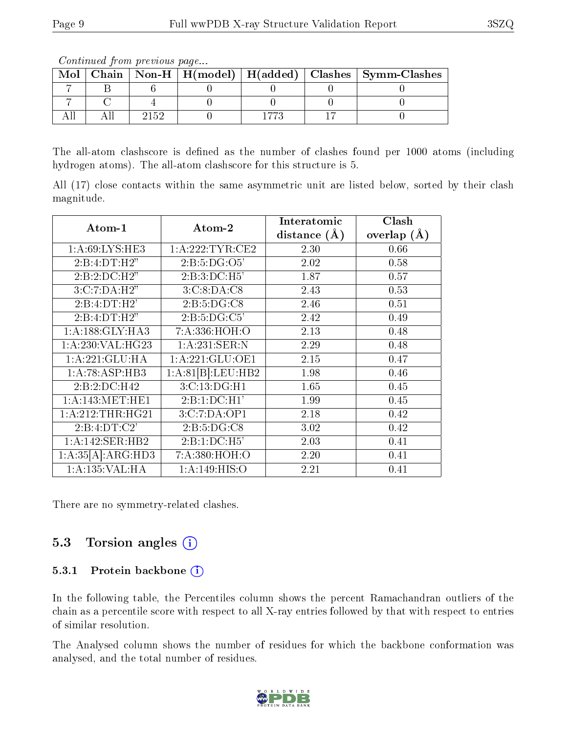The all-atom clashscore is defined as the number of clashes found per 1000 atoms (including hydrogen atoms). The all-atom clashscore for this structure is 5.

All (17) close contacts within the same asymmetric unit are listed below, sorted by their clash magnitude.

| Atom-1              | Atom-2            | Interatomic      | Clash         |
|---------------------|-------------------|------------------|---------------|
|                     |                   | distance $(\AA)$ | overlap $(A)$ |
| 1: A:69: LYS: HE3   | 1:A:222:TYR:CE2   | 2.30             | 0.66          |
| 2:B:4:DT:H2"        | 2: B: 5: DG: O5'  | 2.02             | 0.58          |
| $2:B:2:D\\C:H2"$    | 2:B:3:DC:H5       | 1.87             | 0.57          |
| 3:C:7:DA:H2"        | 3:C:8:DA:C8       | 2.43             | 0.53          |
| 2:B:4:DT:H2'        | 2: B: 5: DG: C8   | 2.46             | 0.51          |
| 2:B:4:DT:H2"        | 2: B: 5: DG: C5'  | 2.42             | 0.49          |
| 1: A: 188: GLY: HA3 | 7: A: 336: HOH:O  | 2.13             | 0.48          |
| 1:A:230:VAL:HG23    | 1: A:231: SER: N  | 2.29             | 0.48          |
| 1:A:221:GLU:HA      | 1: A:221: GLU:OE1 | 2.15             | 0.47          |
| 1:A:78:ASP:HB3      | 1:A:81[B]:LEU:HB2 | 1.98             | 0.46          |
| 2:B:2:D C:H42       | 3:C:13:DG:H1      | 1.65             | 0.45          |
| 1: A:143:MET:HE1    | 2:B:1:DC:H1'      | 1.99             | 0.45          |
| 1:A:212:THR:HG21    | 3:C:7:DA:OP1      | 2.18             | 0.42          |
| 2:B:4:DT:C2'        | 2: B: 5: DG: C8   | 3.02             | 0.42          |
| 1:A:142:SER:HB2     | 2:B:1:DC:H5'      | 2.03             | 0.41          |
| 1:A:35[A]:ARG:HD3   | 7: A:380:HOH:O    | 2.20             | 0.41          |
| 1:A:135:VAL:HA      | 1: A:149: HIS:O   | 2.21             | 0.41          |

There are no symmetry-related clashes.

### 5.3 Torsion angles  $(i)$

#### 5.3.1 Protein backbone  $(i)$

In the following table, the Percentiles column shows the percent Ramachandran outliers of the chain as a percentile score with respect to all X-ray entries followed by that with respect to entries of similar resolution.

The Analysed column shows the number of residues for which the backbone conformation was analysed, and the total number of residues.



 $Mol$  | Chain | Non-H | H(model) | H(added) | Clashes | Symm-Clashes  $7$  | B | 6 | 0 | 0 | 0 | 0  $7$  | C | 4 | 0 | 0 | 0 | 0 All | All | 2152 | 0 | 1773 | 17 | 0

Continued from previous page...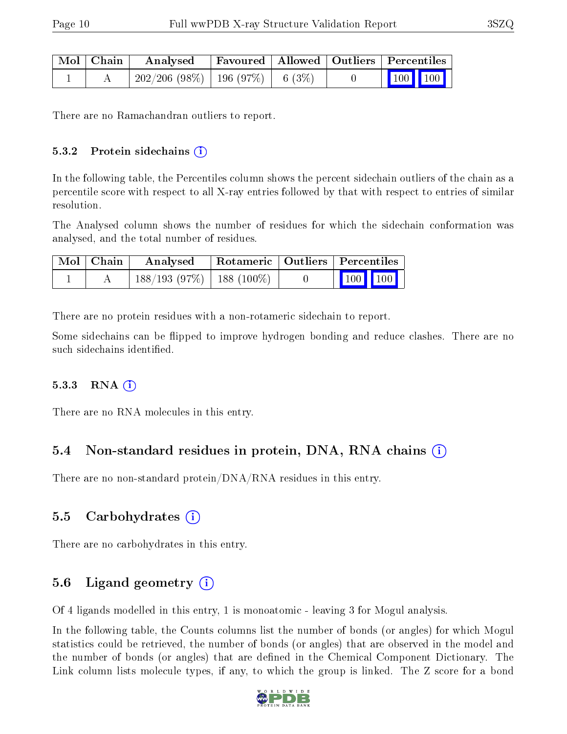| Mol   Chain | Analysed                                | Favoured   Allowed   Outliers   Percentiles |  |                                                |
|-------------|-----------------------------------------|---------------------------------------------|--|------------------------------------------------|
|             | $202/206$ (98\%)   196 (97\%)   6 (3\%) |                                             |  | $\begin{bmatrix} 100 \\ 100 \end{bmatrix}$ 100 |

There are no Ramachandran outliers to report.

#### $5.3.2$  Protein sidechains  $(i)$

In the following table, the Percentiles column shows the percent sidechain outliers of the chain as a percentile score with respect to all X-ray entries followed by that with respect to entries of similar resolution.

The Analysed column shows the number of residues for which the sidechain conformation was analysed, and the total number of residues.

| Mol   Chain | Rotameric   Outliers   Percentiles<br>Analysed |  |                         |  |
|-------------|------------------------------------------------|--|-------------------------|--|
|             | $188/193$ (97%)   188 (100%)                   |  | $\vert$ 100 100 $\vert$ |  |

There are no protein residues with a non-rotameric sidechain to report.

Some sidechains can be flipped to improve hydrogen bonding and reduce clashes. There are no such sidechains identified.

#### $5.3.3$  RNA  $(i)$

There are no RNA molecules in this entry.

### 5.4 Non-standard residues in protein, DNA, RNA chains (i)

There are no non-standard protein/DNA/RNA residues in this entry.

### 5.5 Carbohydrates (i)

There are no carbohydrates in this entry.

### 5.6 Ligand geometry  $(i)$

Of 4 ligands modelled in this entry, 1 is monoatomic - leaving 3 for Mogul analysis.

In the following table, the Counts columns list the number of bonds (or angles) for which Mogul statistics could be retrieved, the number of bonds (or angles) that are observed in the model and the number of bonds (or angles) that are defined in the Chemical Component Dictionary. The Link column lists molecule types, if any, to which the group is linked. The Z score for a bond

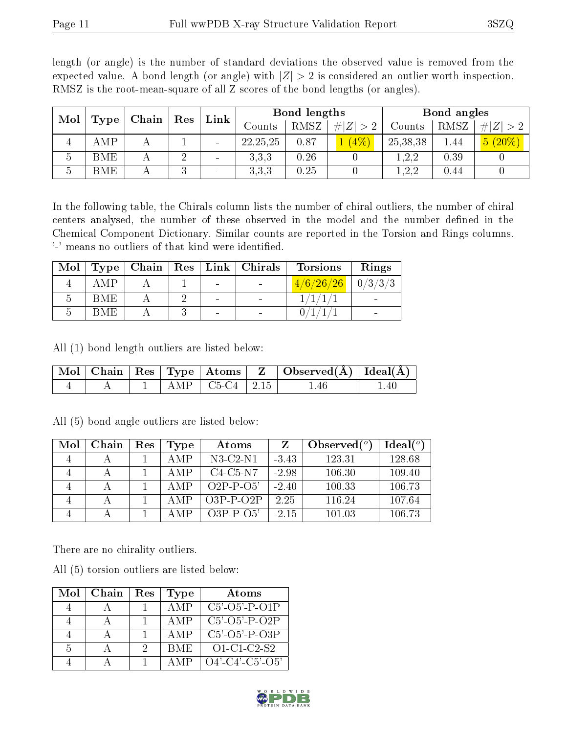| Mol<br>Type |             |  |         |  | Chain      | $\operatorname{Res}$ | Link        |          | Bond lengths |           |  | Bond angles |  |
|-------------|-------------|--|---------|--|------------|----------------------|-------------|----------|--------------|-----------|--|-------------|--|
|             |             |  |         |  | Counts     | RMSZ                 | # $ Z  > 2$ | Counts   | RMSZ         | $\# Z $   |  |             |  |
|             | AMP         |  |         |  | 22, 25, 25 | 0.87                 | (4% )       | 25,38,38 | 1.44         | $5(20\%)$ |  |             |  |
| 5           | BME         |  | ച       |  | 3,3,3      | 0.26                 |             | 1,2,2    | 0.39         |           |  |             |  |
| 5           | ${\rm BME}$ |  | റ<br>мJ |  | 3,3,3      | 0.25                 |             | 1, 2, 2  | 0.44         |           |  |             |  |

length (or angle) is the number of standard deviations the observed value is removed from the expected value. A bond length (or angle) with  $|Z| > 2$  is considered an outlier worth inspection. RMSZ is the root-mean-square of all Z scores of the bond lengths (or angles).

In the following table, the Chirals column lists the number of chiral outliers, the number of chiral centers analysed, the number of these observed in the model and the number defined in the Chemical Component Dictionary. Similar counts are reported in the Torsion and Rings columns. '-' means no outliers of that kind were identified.

| Mol |     |  |                          | Type   Chain   Res   Link   Christmas | <b>Torsions</b>                                                                   | Rings |
|-----|-----|--|--------------------------|---------------------------------------|-----------------------------------------------------------------------------------|-------|
|     | AMP |  | $\overline{\phantom{a}}$ |                                       | $\left[ \frac{4}{6} \right] \frac{26}{26} \left[ \frac{0}{3} \right] \frac{3}{3}$ |       |
|     | BME |  | $\sim$                   | $\overline{\phantom{0}}$              |                                                                                   |       |
|     | BME |  | $\sim$                   |                                       |                                                                                   |       |

All (1) bond length outliers are listed below:

|  |  |                           | Mol   Chain   Res   Type   Atoms   Z   Observed(A)   Ideal(A) |  |
|--|--|---------------------------|---------------------------------------------------------------|--|
|  |  | $\Box$ AMP   C5-C4   2.15 | 1.46                                                          |  |

| Mol | Chain | $\operatorname{Res}% \left( \mathcal{N}\right) \equiv\operatorname{Res}(\mathcal{N}_{0},\mathcal{N}_{0})$ | Type  | Atoms           |         | Observed $(°)$ | Ideal(°) |
|-----|-------|-----------------------------------------------------------------------------------------------------------|-------|-----------------|---------|----------------|----------|
|     |       |                                                                                                           | A MP  | $N3-C2-N1$      | $-3.43$ | 123.31         | 128.68   |
|     |       |                                                                                                           | A M P | $C4-C5-N7$      | $-2.98$ | 106.30         | 109.40   |
|     |       |                                                                                                           | A M P | $O2P-P-O5'$     | $-2.40$ | 100.33         | 106.73   |
|     |       |                                                                                                           | A MP  | $O3P-P-O2P$     | 2.25    | 116.24         | 107.64   |
|     |       |                                                                                                           | А МР  | $O3P - P - O5'$ | $-215$  | 101.03         | 106.73   |

All (5) bond angle outliers are listed below:

There are no chirality outliers.

All (5) torsion outliers are listed below:

| Mol | Chain | $\operatorname{Res}% \left( \mathcal{N}\right) \equiv\operatorname{Res}(\mathcal{N}_{0})\cap\mathcal{N}_{1}$ | Type       | Atoms                       |
|-----|-------|--------------------------------------------------------------------------------------------------------------|------------|-----------------------------|
|     |       |                                                                                                              | A M P      | $C5'$ - $O5'$ - $P$ - $O1P$ |
|     |       |                                                                                                              | A M P      | $C5'$ $O5'$ $P$ $O2P$       |
|     |       |                                                                                                              | AMP        | $C5'$ - $O5'$ - $P$ - $O3P$ |
| .5  |       |                                                                                                              | <b>BME</b> | $O1-C1-C2-S2$               |
|     |       |                                                                                                              |            | $O4'$ -C4'-C5'-O5'          |

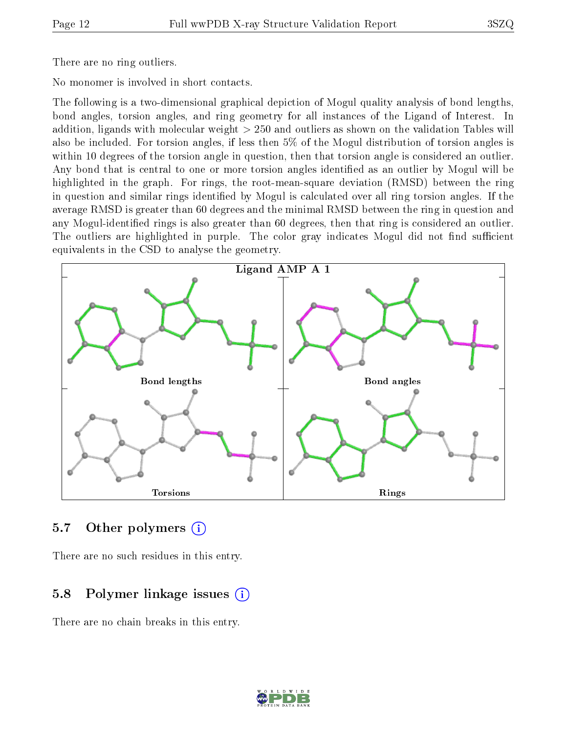There are no ring outliers.

No monomer is involved in short contacts.

The following is a two-dimensional graphical depiction of Mogul quality analysis of bond lengths, bond angles, torsion angles, and ring geometry for all instances of the Ligand of Interest. In addition, ligands with molecular weight > 250 and outliers as shown on the validation Tables will also be included. For torsion angles, if less then 5% of the Mogul distribution of torsion angles is within 10 degrees of the torsion angle in question, then that torsion angle is considered an outlier. Any bond that is central to one or more torsion angles identified as an outlier by Mogul will be highlighted in the graph. For rings, the root-mean-square deviation (RMSD) between the ring in question and similar rings identified by Mogul is calculated over all ring torsion angles. If the average RMSD is greater than 60 degrees and the minimal RMSD between the ring in question and any Mogul-identified rings is also greater than 60 degrees, then that ring is considered an outlier. The outliers are highlighted in purple. The color gray indicates Mogul did not find sufficient equivalents in the CSD to analyse the geometry.



#### 5.7 [O](https://www.wwpdb.org/validation/2017/XrayValidationReportHelp#nonstandard_residues_and_ligands)ther polymers (i)

There are no such residues in this entry.

### 5.8 Polymer linkage issues  $(i)$

There are no chain breaks in this entry.

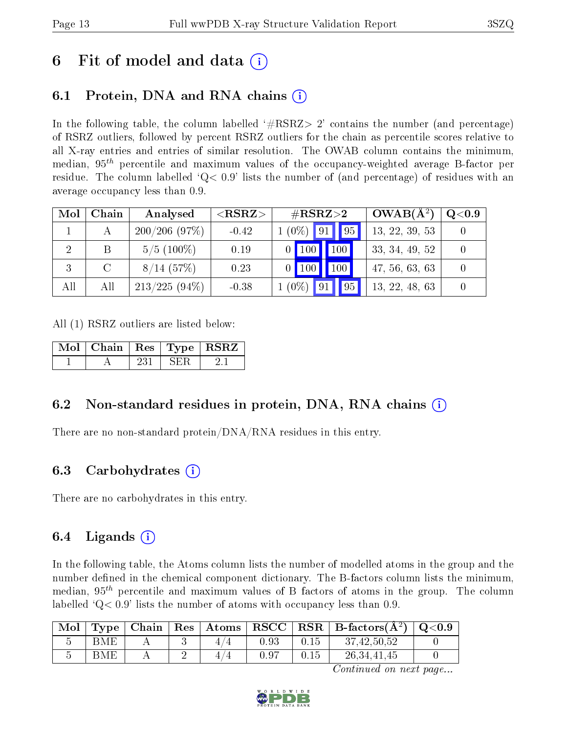## 6 Fit of model and data  $\left( \cdot \right)$

## 6.1 Protein, DNA and RNA chains (i)

In the following table, the column labelled  $#RSRZ> 2'$  contains the number (and percentage) of RSRZ outliers, followed by percent RSRZ outliers for the chain as percentile scores relative to all X-ray entries and entries of similar resolution. The OWAB column contains the minimum, median,  $95<sup>th</sup>$  percentile and maximum values of the occupancy-weighted average B-factor per residue. The column labelled  $Q < 0.9$  lists the number of (and percentage) of residues with an average occupancy less than 0.9.

| Mol | Chain         | Analysed        | ${ <\hspace{-1.5pt}{\mathrm{RSRZ}} \hspace{-1.5pt}>}$ | $\#\text{RSRZ}{>}2$                    | $OWAB(A^2)$    | $\rm Q\textcolor{black}{<}0.9$ |
|-----|---------------|-----------------|-------------------------------------------------------|----------------------------------------|----------------|--------------------------------|
|     |               | 200/206(97%)    | $-0.42$                                               | $(0\%)$   91  <br> 95                  | 13, 22, 39, 53 |                                |
|     | B.            | $5/5(100\%)$    | 0.19                                                  | 100<br>$\overline{100}$ $\overline{ }$ | 33, 34, 49, 52 |                                |
|     | $\mathcal{C}$ | $8/14$ (57%)    | 0.23                                                  | <b>100</b><br>$0$   100                | 47, 56, 63, 63 |                                |
| All | All           | $213/225(94\%)$ | $-0.38$                                               | $(0\%)$<br>95                          | 13, 22, 48, 63 |                                |

All (1) RSRZ outliers are listed below:

| Mol   Chain   Res   Type   RSRZ |  |  |  |
|---------------------------------|--|--|--|
|                                 |  |  |  |

### 6.2 Non-standard residues in protein, DNA, RNA chains (i)

There are no non-standard protein/DNA/RNA residues in this entry.

### 6.3 Carbohydrates (i)

There are no carbohydrates in this entry.

### 6.4 Ligands  $(i)$

In the following table, the Atoms column lists the number of modelled atoms in the group and the number defined in the chemical component dictionary. The B-factors column lists the minimum, median,  $95<sup>th</sup>$  percentile and maximum values of B factors of atoms in the group. The column labelled  $Q< 0.9$ ' lists the number of atoms with occupancy less than 0.9.

| Mol | $\mathbf{Type}_{\perp}$ |  |   |      |      | $\mid$ Chain $\mid$ Res $\mid$ Atoms $\mid$ RSCC $\mid$ RSR $\mid$ B-factors(A <sup>2</sup> ) $\mid$ Q<0.9 |  |
|-----|-------------------------|--|---|------|------|------------------------------------------------------------------------------------------------------------|--|
|     | BMF                     |  |   | 0.93 | 0.15 | 37,42,50,52                                                                                                |  |
|     | BME                     |  | 4 | 0.97 |      | 26, 34, 41, 45                                                                                             |  |

Continued on next page...